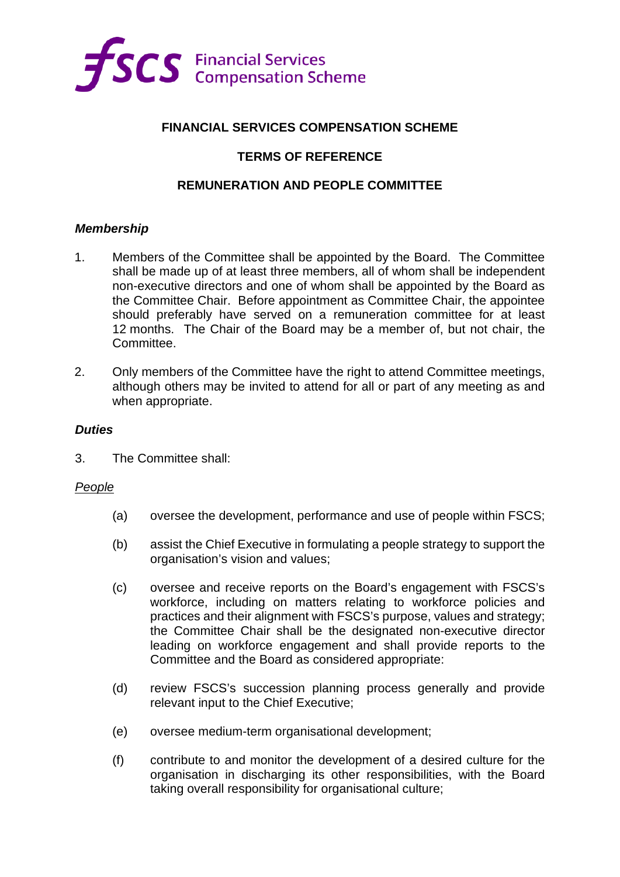

# **FINANCIAL SERVICES COMPENSATION SCHEME**

# **TERMS OF REFERENCE**

## **REMUNERATION AND PEOPLE COMMITTEE**

## *Membership*

- 1. Members of the Committee shall be appointed by the Board. The Committee shall be made up of at least three members, all of whom shall be independent non-executive directors and one of whom shall be appointed by the Board as the Committee Chair. Before appointment as Committee Chair, the appointee should preferably have served on a remuneration committee for at least 12 months. The Chair of the Board may be a member of, but not chair, the **Committee**
- 2. Only members of the Committee have the right to attend Committee meetings, although others may be invited to attend for all or part of any meeting as and when appropriate.

#### *Duties*

3. The Committee shall:

#### *People*

- (a) oversee the development, performance and use of people within FSCS;
- (b) assist the Chief Executive in formulating a people strategy to support the organisation's vision and values;
- (c) oversee and receive reports on the Board's engagement with FSCS's workforce, including on matters relating to workforce policies and practices and their alignment with FSCS's purpose, values and strategy; the Committee Chair shall be the designated non-executive director leading on workforce engagement and shall provide reports to the Committee and the Board as considered appropriate:
- (d) review FSCS's succession planning process generally and provide relevant input to the Chief Executive;
- (e) oversee medium-term organisational development;
- (f) contribute to and monitor the development of a desired culture for the organisation in discharging its other responsibilities, with the Board taking overall responsibility for organisational culture;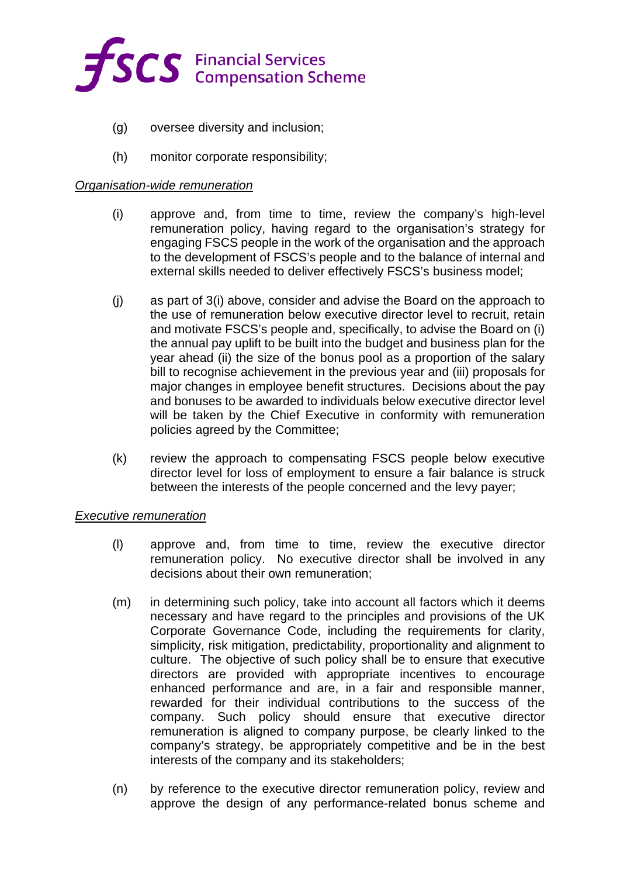

- (g) oversee diversity and inclusion;
- (h) monitor corporate responsibility;

#### *Organisation-wide remuneration*

- (i) approve and, from time to time, review the company's high-level remuneration policy, having regard to the organisation's strategy for engaging FSCS people in the work of the organisation and the approach to the development of FSCS's people and to the balance of internal and external skills needed to deliver effectively FSCS's business model;
- (j) as part of 3(i) above, consider and advise the Board on the approach to the use of remuneration below executive director level to recruit, retain and motivate FSCS's people and, specifically, to advise the Board on (i) the annual pay uplift to be built into the budget and business plan for the year ahead (ii) the size of the bonus pool as a proportion of the salary bill to recognise achievement in the previous year and (iii) proposals for major changes in employee benefit structures. Decisions about the pay and bonuses to be awarded to individuals below executive director level will be taken by the Chief Executive in conformity with remuneration policies agreed by the Committee;
- (k) review the approach to compensating FSCS people below executive director level for loss of employment to ensure a fair balance is struck between the interests of the people concerned and the levy payer;

#### *Executive remuneration*

- (l) approve and, from time to time, review the executive director remuneration policy. No executive director shall be involved in any decisions about their own remuneration;
- (m) in determining such policy, take into account all factors which it deems necessary and have regard to the principles and provisions of the UK Corporate Governance Code, including the requirements for clarity, simplicity, risk mitigation, predictability, proportionality and alignment to culture. The objective of such policy shall be to ensure that executive directors are provided with appropriate incentives to encourage enhanced performance and are, in a fair and responsible manner, rewarded for their individual contributions to the success of the company. Such policy should ensure that executive director remuneration is aligned to company purpose, be clearly linked to the company's strategy, be appropriately competitive and be in the best interests of the company and its stakeholders;
- (n) by reference to the executive director remuneration policy, review and approve the design of any performance-related bonus scheme and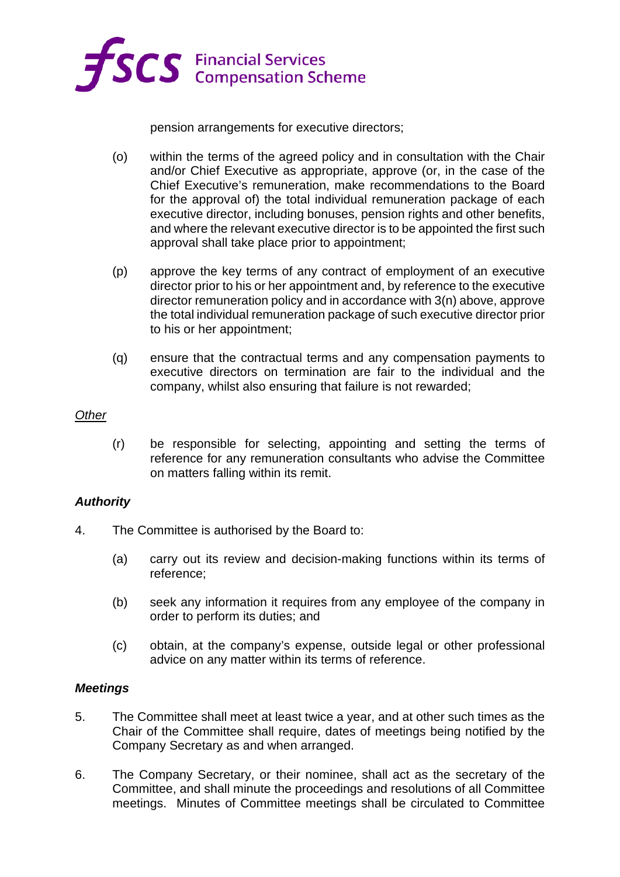

pension arrangements for executive directors;

- (o) within the terms of the agreed policy and in consultation with the Chair and/or Chief Executive as appropriate, approve (or, in the case of the Chief Executive's remuneration, make recommendations to the Board for the approval of) the total individual remuneration package of each executive director, including bonuses, pension rights and other benefits, and where the relevant executive director is to be appointed the first such approval shall take place prior to appointment;
- (p) approve the key terms of any contract of employment of an executive director prior to his or her appointment and, by reference to the executive director remuneration policy and in accordance with 3(n) above, approve the total individual remuneration package of such executive director prior to his or her appointment;
- (q) ensure that the contractual terms and any compensation payments to executive directors on termination are fair to the individual and the company, whilst also ensuring that failure is not rewarded;

#### *Other*

(r) be responsible for selecting, appointing and setting the terms of reference for any remuneration consultants who advise the Committee on matters falling within its remit.

## *Authority*

- 4. The Committee is authorised by the Board to:
	- (a) carry out its review and decision-making functions within its terms of reference;
	- (b) seek any information it requires from any employee of the company in order to perform its duties; and
	- (c) obtain, at the company's expense, outside legal or other professional advice on any matter within its terms of reference.

#### *Meetings*

- 5. The Committee shall meet at least twice a year, and at other such times as the Chair of the Committee shall require, dates of meetings being notified by the Company Secretary as and when arranged.
- 6. The Company Secretary, or their nominee, shall act as the secretary of the Committee, and shall minute the proceedings and resolutions of all Committee meetings. Minutes of Committee meetings shall be circulated to Committee